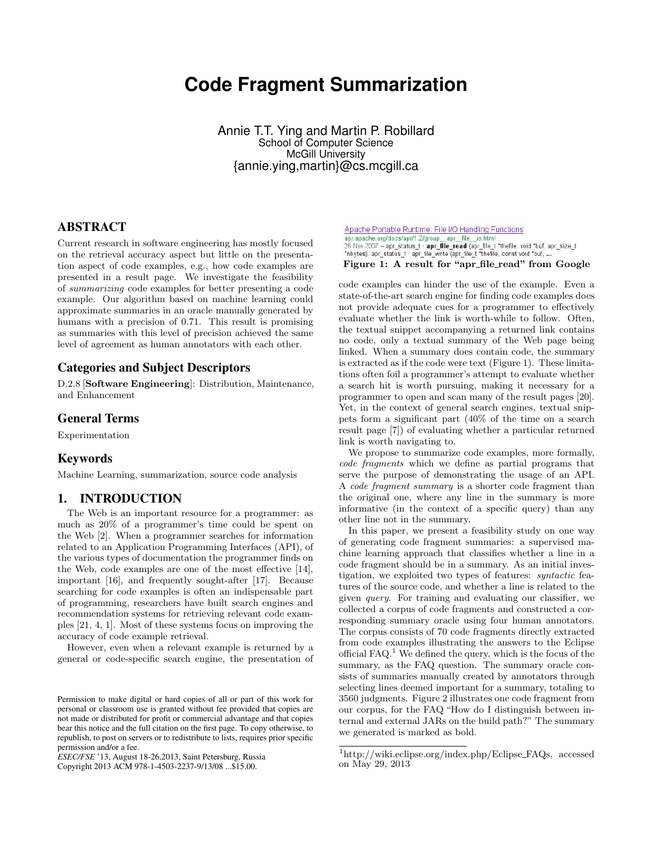# Code Fragment Summarization

Annie T.T. Ying and Martin P. Robillard School of Computer Science McGill University {annie.ying,martin}@cs.mcgill.ca

# ABSTRACT

Current research in software engineering has mostly focused on the retrieval accuracy aspect but little on the presentation aspect of code examples, e.g., how code examples are presented in a result page. We investigate the feasibility of summarizing code examples for better presenting a code example. Our algorithm based on machine learning could approximate summaries in an oracle manually generated by humans with a precision of 0.71. This result is promising as summaries with this level of precision achieved the same level of agreement as human annotators with each other.

# Categories and Subject Descriptors

D.2.8 [Software Engineering]: Distribution, Maintenance, and Enhancement

## General Terms

Experimentation

## Keywords

Machine Learning, summarization, source code analysis

## 1. INTRODUCTION

The Web is an important resource for a programmer: as much as 20% of a programmer's time could be spent on the Web [2]. When a programmer searches for information related to an Application Programming Interfaces (API), of the various types of documentation the programmer finds on the Web, code examples are one of the most effective [14], important [16], and frequently sought-after [17]. Because searching for code examples is often an indispensable part of programming, researchers have built search engines and recommendation systems for retrieving relevant code examples [21, 4, 1]. Most of these systems focus on improving the accuracy of code example retrieval.

However, even when a relevant example is returned by a general or code-specific search engine, the presentation of

ESEC/FSE '13, August 18-26,2013, Saint Petersburg, Russia

Copyright 2013 ACM 978-1-4503-2237-9/13/08 ...\$15.00.

Apache Portable Runtime: File I/O Handling Functions apr.apache.org/docs/apr/1.2/group\_apr\_file\_io.html<br>26 Nov 2007 - apr\_status\_t = **apr\_file\_read** (apr\_file\_t \*thefile, void \*buf, apr\_size\_t \*nbytes). apr\_status\_t · apr\_file\_write (apr\_file\_t \*thefile, const void \*buf, ... Figure 1: A result for "apr file read" from Google

code examples can hinder the use of the example. Even a state-of-the-art search engine for finding code examples does not provide adequate cues for a programmer to effectively evaluate whether the link is worth-while to follow. Often, the textual snippet accompanying a returned link contains no code, only a textual summary of the Web page being linked. When a summary does contain code, the summary is extracted as if the code were text (Figure 1). These limitations often foil a programmer's attempt to evaluate whether a search hit is worth pursuing, making it necessary for a programmer to open and scan many of the result pages [20]. Yet, in the context of general search engines, textual snippets form a significant part (40% of the time on a search result page [7]) of evaluating whether a particular returned link is worth navigating to.

We propose to summarize code examples, more formally, code fragments which we define as partial programs that serve the purpose of demonstrating the usage of an API. A code fragment summary is a shorter code fragment than the original one, where any line in the summary is more informative (in the context of a specific query) than any other line not in the summary.

In this paper, we present a feasibility study on one way of generating code fragment summaries: a supervised machine learning approach that classifies whether a line in a code fragment should be in a summary. As an initial investigation, we exploited two types of features: syntactic features of the source code, and whether a line is related to the given query. For training and evaluating our classifier, we collected a corpus of code fragments and constructed a corresponding summary oracle using four human annotators. The corpus consists of 70 code fragments directly extracted from code examples illustrating the answers to the Eclipse official  $FAQ<sup>1</sup>$ . We defined the query, which is the focus of the summary, as the FAQ question. The summary oracle consists of summaries manually created by annotators through selecting lines deemed important for a summary, totaling to 3560 judgments. Figure 2 illustrates one code fragment from our corpus, for the FAQ "How do I distinguish between internal and external JARs on the build path?" The summary we generated is marked as bold.

Permission to make digital or hard copies of all or part of this work for personal or classroom use is granted without fee provided that copies are not made or distributed for profit or commercial advantage and that copies bear this notice and the full citation on the first page. To copy otherwise, to republish, to post on servers or to redistribute to lists, requires prior specific permission and/or a fee.

<sup>1</sup>http://wiki.eclipse.org/index.php/Eclipse FAQs, accessed on May 29, 2013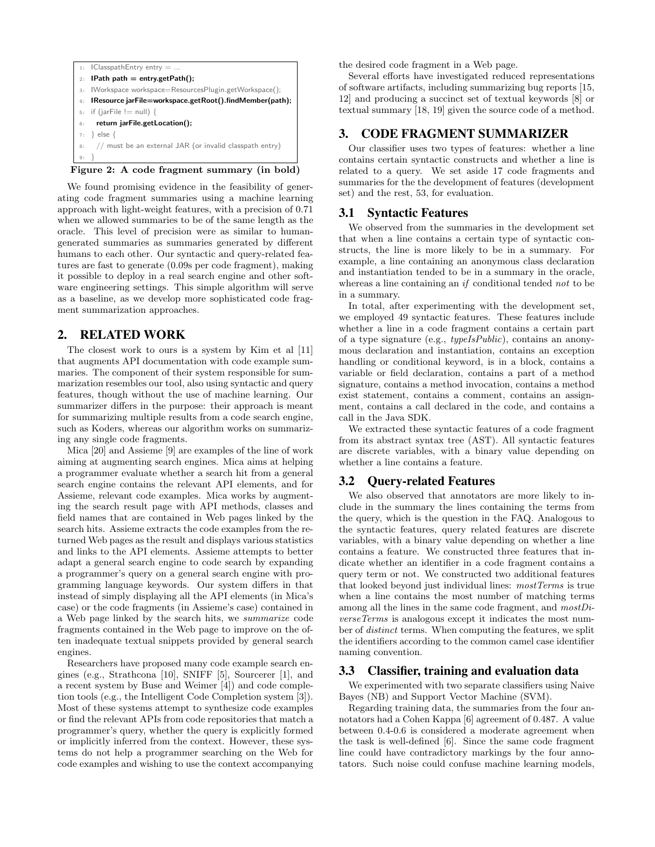

Figure 2: A code fragment summary (in bold)

We found promising evidence in the feasibility of generating code fragment summaries using a machine learning approach with light-weight features, with a precision of 0.71 when we allowed summaries to be of the same length as the oracle. This level of precision were as similar to humangenerated summaries as summaries generated by different humans to each other. Our syntactic and query-related features are fast to generate (0.09s per code fragment), making it possible to deploy in a real search engine and other software engineering settings. This simple algorithm will serve as a baseline, as we develop more sophisticated code fragment summarization approaches.

# 2. RELATED WORK

The closest work to ours is a system by Kim et al [11] that augments API documentation with code example summaries. The component of their system responsible for summarization resembles our tool, also using syntactic and query features, though without the use of machine learning. Our summarizer differs in the purpose: their approach is meant for summarizing multiple results from a code search engine, such as Koders, whereas our algorithm works on summarizing any single code fragments.

Mica [20] and Assieme [9] are examples of the line of work aiming at augmenting search engines. Mica aims at helping a programmer evaluate whether a search hit from a general search engine contains the relevant API elements, and for Assieme, relevant code examples. Mica works by augmenting the search result page with API methods, classes and field names that are contained in Web pages linked by the search hits. Assieme extracts the code examples from the returned Web pages as the result and displays various statistics and links to the API elements. Assieme attempts to better adapt a general search engine to code search by expanding a programmer's query on a general search engine with programming language keywords. Our system differs in that instead of simply displaying all the API elements (in Mica's case) or the code fragments (in Assieme's case) contained in a Web page linked by the search hits, we summarize code fragments contained in the Web page to improve on the often inadequate textual snippets provided by general search engines.

Researchers have proposed many code example search engines (e.g., Strathcona [10], SNIFF [5], Sourcerer [1], and a recent system by Buse and Weimer [4]) and code completion tools (e.g., the Intelligent Code Completion system [3]). Most of these systems attempt to synthesize code examples or find the relevant APIs from code repositories that match a programmer's query, whether the query is explicitly formed or implicitly inferred from the context. However, these systems do not help a programmer searching on the Web for code examples and wishing to use the context accompanying the desired code fragment in a Web page.

Several efforts have investigated reduced representations of software artifacts, including summarizing bug reports [15, 12] and producing a succinct set of textual keywords [8] or textual summary [18, 19] given the source code of a method.

# 3. CODE FRAGMENT SUMMARIZER

Our classifier uses two types of features: whether a line contains certain syntactic constructs and whether a line is related to a query. We set aside 17 code fragments and summaries for the the development of features (development set) and the rest, 53, for evaluation.

#### 3.1 Syntactic Features

We observed from the summaries in the development set that when a line contains a certain type of syntactic constructs, the line is more likely to be in a summary. For example, a line containing an anonymous class declaration and instantiation tended to be in a summary in the oracle, whereas a line containing an *if* conditional tended not to be in a summary.

In total, after experimenting with the development set, we employed 49 syntactic features. These features include whether a line in a code fragment contains a certain part of a type signature (e.g., typeIsPublic), contains an anonymous declaration and instantiation, contains an exception handling or conditional keyword, is in a block, contains a variable or field declaration, contains a part of a method signature, contains a method invocation, contains a method exist statement, contains a comment, contains an assignment, contains a call declared in the code, and contains a call in the Java SDK.

We extracted these syntactic features of a code fragment from its abstract syntax tree (AST). All syntactic features are discrete variables, with a binary value depending on whether a line contains a feature.

## 3.2 Query-related Features

We also observed that annotators are more likely to include in the summary the lines containing the terms from the query, which is the question in the FAQ. Analogous to the syntactic features, query related features are discrete variables, with a binary value depending on whether a line contains a feature. We constructed three features that indicate whether an identifier in a code fragment contains a query term or not. We constructed two additional features that looked beyond just individual lines: mostTerms is true when a line contains the most number of matching terms among all the lines in the same code fragment, and mostDiverseTerms is analogous except it indicates the most number of distinct terms. When computing the features, we split the identifiers according to the common camel case identifier naming convention.

#### 3.3 Classifier, training and evaluation data

We experimented with two separate classifiers using Naive Bayes (NB) and Support Vector Machine (SVM).

Regarding training data, the summaries from the four annotators had a Cohen Kappa [6] agreement of 0.487. A value between 0.4-0.6 is considered a moderate agreement when the task is well-defined [6]. Since the same code fragment line could have contradictory markings by the four annotators. Such noise could confuse machine learning models,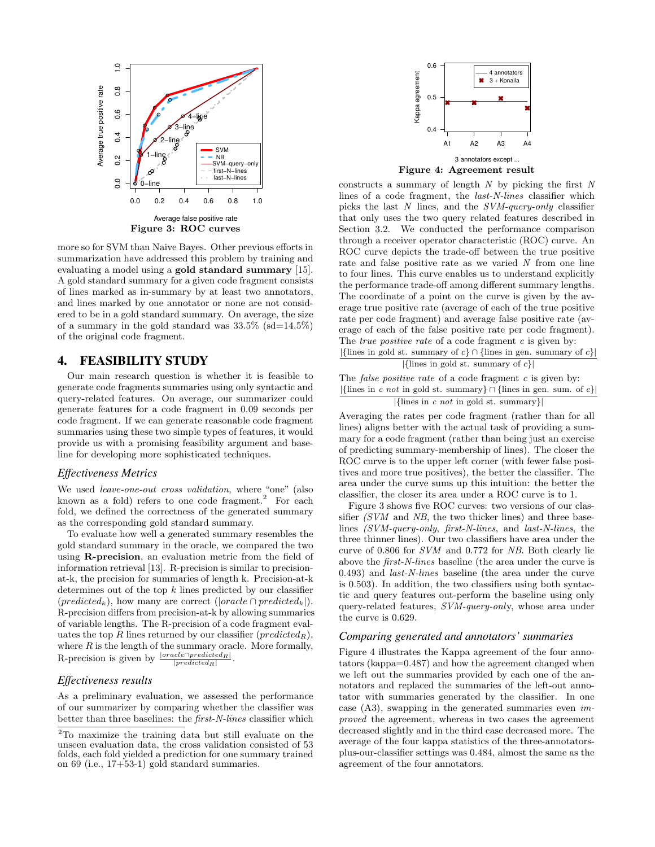

more so for SVM than Naive Bayes. Other previous efforts in summarization have addressed this problem by training and evaluating a model using a gold standard summary [15]. A gold standard summary for a given code fragment consists of lines marked as in-summary by at least two annotators, and lines marked by one annotator or none are not considered to be in a gold standard summary. On average, the size of a summary in the gold standard was  $33.5\%$  (sd=14.5%) of the original code fragment.

## 4. FEASIBILITY STUDY

Our main research question is whether it is feasible to generate code fragments summaries using only syntactic and query-related features. On average, our summarizer could generate features for a code fragment in 0.09 seconds per code fragment. If we can generate reasonable code fragment summaries using these two simple types of features, it would provide us with a promising feasibility argument and baseline for developing more sophisticated techniques.

#### Effectiveness Metrics

We used leave-one-out cross validation, where "one" (also known as a fold) refers to one code fragment.<sup>2</sup> For each fold, we defined the correctness of the generated summary as the corresponding gold standard summary.

To evaluate how well a generated summary resembles the gold standard summary in the oracle, we compared the two using R-precision, an evaluation metric from the field of information retrieval [13]. R-precision is similar to precisionat-k, the precision for summaries of length k. Precision-at-k determines out of the top k lines predicted by our classifier  $(predicted_k)$ , how many are correct  $(|oracle \cap predicted_k|)$ . R-precision differs from precision-at-k by allowing summaries of variable lengths. The R-precision of a code fragment evaluates the top R lines returned by our classifier  $(pred_R)$ , where  $R$  is the length of the summary oracle. More formally, R-precision is given by  $\frac{|oracle \cap predicted_R|}{|predicted_R|}$ .

#### Effectiveness results

As a preliminary evaluation, we assessed the performance of our summarizer by comparing whether the classifier was better than three baselines: the first-N-lines classifier which



constructs a summary of length  $N$  by picking the first  $N$ lines of a code fragment, the last-N-lines classifier which picks the last  $N$  lines, and the  $SVM$ -query-only classifier that only uses the two query related features described in Section 3.2. We conducted the performance comparison through a receiver operator characteristic (ROC) curve. An ROC curve depicts the trade-off between the true positive rate and false positive rate as we varied N from one line to four lines. This curve enables us to understand explicitly the performance trade-off among different summary lengths. The coordinate of a point on the curve is given by the average true positive rate (average of each of the true positive rate per code fragment) and average false positive rate (average of each of the false positive rate per code fragment). The *true positive rate* of a code fragment  $c$  is given by: |{lines in gold st. summary of  $c$ } ∩ {lines in gen. summary of  $c$ }|

|{lines in gold st. summary of  $c$ }|

The *false positive rate* of a code fragment  $c$  is given by:  $|\{\text{lines in } c \text{ not in gold st. summary}\}\cap \{\text{lines in gen. sum. of } c\}|$  $\vert$ {lines in *c not* in gold st. summary} $\vert$ 

Averaging the rates per code fragment (rather than for all lines) aligns better with the actual task of providing a summary for a code fragment (rather than being just an exercise of predicting summary-membership of lines). The closer the ROC curve is to the upper left corner (with fewer false positives and more true positives), the better the classifier. The area under the curve sums up this intuition: the better the classifier, the closer its area under a ROC curve is to 1.

Figure 3 shows five ROC curves: two versions of our classifier (SVM and NB, the two thicker lines) and three baselines (SVM-query-only, first-N-lines, and last-N-lines, the three thinner lines). Our two classifiers have area under the curve of 0.806 for SVM and 0.772 for NB. Both clearly lie above the first-N-lines baseline (the area under the curve is 0.493) and last-N-lines baseline (the area under the curve is 0.503). In addition, the two classifiers using both syntactic and query features out-perform the baseline using only query-related features, SVM-query-only, whose area under the curve is 0.629.

#### Comparing generated and annotators' summaries

Figure 4 illustrates the Kappa agreement of the four annotators (kappa=0.487) and how the agreement changed when we left out the summaries provided by each one of the annotators and replaced the summaries of the left-out annotator with summaries generated by the classifier. In one case (A3), swapping in the generated summaries even improved the agreement, whereas in two cases the agreement decreased slightly and in the third case decreased more. The average of the four kappa statistics of the three-annotatorsplus-our-classifier settings was 0.484, almost the same as the agreement of the four annotators.

<sup>2</sup>To maximize the training data but still evaluate on the unseen evaluation data, the cross validation consisted of 53 folds, each fold yielded a prediction for one summary trained on 69 (i.e., 17+53-1) gold standard summaries.